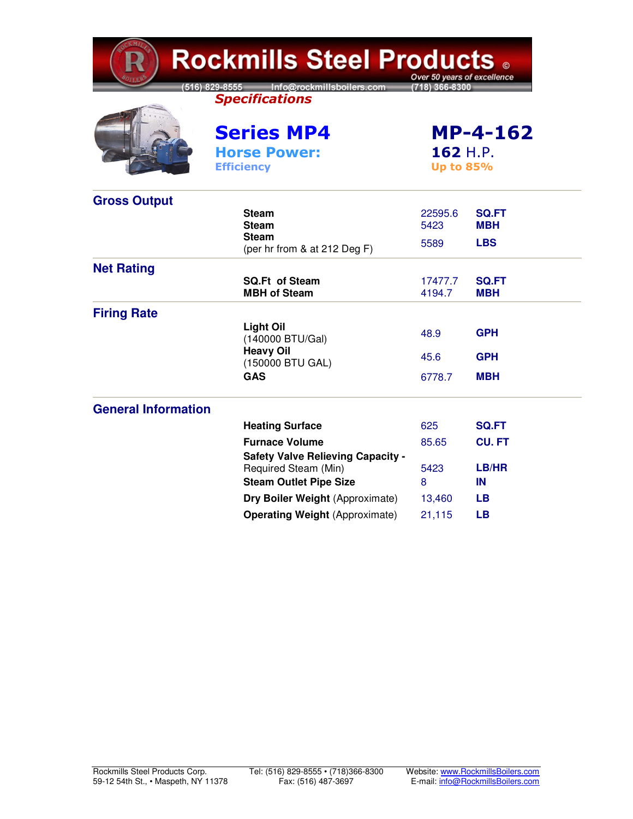| <b>Rockmills Steel Products .</b><br>Over 50 years of excellence |                                                                                     |                   |                                                 |  |  |  |
|------------------------------------------------------------------|-------------------------------------------------------------------------------------|-------------------|-------------------------------------------------|--|--|--|
|                                                                  | [516] 829-8555 Info@rockmillsboilers.com<br>(718) 366-8300<br><b>Specifications</b> |                   |                                                 |  |  |  |
|                                                                  | <b>Series MP4</b><br><b>Horse Power:</b><br><b>Efficiency</b>                       |                   | <b>MP-4-162</b><br>162 H.P.<br><b>Up to 85%</b> |  |  |  |
| <b>Gross Output</b>                                              |                                                                                     |                   |                                                 |  |  |  |
|                                                                  | <b>Steam</b><br><b>Steam</b>                                                        | 22595.6<br>5423   | <b>SQ.FT</b><br><b>MBH</b>                      |  |  |  |
|                                                                  | <b>Steam</b><br>(per hr from & at 212 Deg F)                                        | 5589              | <b>LBS</b>                                      |  |  |  |
| <b>Net Rating</b>                                                |                                                                                     |                   |                                                 |  |  |  |
|                                                                  | <b>SQ.Ft of Steam</b><br><b>MBH of Steam</b>                                        | 17477.7<br>4194.7 | <b>SQ.FT</b><br><b>MBH</b>                      |  |  |  |
| <b>Firing Rate</b>                                               |                                                                                     |                   |                                                 |  |  |  |
|                                                                  | <b>Light Oil</b><br>(140000 BTU/Gal)                                                | 48.9              | <b>GPH</b>                                      |  |  |  |
|                                                                  | <b>Heavy Oil</b><br>(150000 BTU GAL)                                                | 45.6              | <b>GPH</b>                                      |  |  |  |
|                                                                  | <b>GAS</b>                                                                          | 6778.7            | <b>MBH</b>                                      |  |  |  |
| <b>General Information</b>                                       |                                                                                     |                   |                                                 |  |  |  |
|                                                                  | <b>Heating Surface</b>                                                              | 625               | <b>SQ.FT</b>                                    |  |  |  |
|                                                                  | <b>Furnace Volume</b>                                                               | 85.65             | <b>CU.FT</b>                                    |  |  |  |
|                                                                  | <b>Safety Valve Relieving Capacity -</b><br>Required Steam (Min)                    | 5423              | LB/HR                                           |  |  |  |
|                                                                  | <b>Steam Outlet Pipe Size</b>                                                       | 8                 | IN                                              |  |  |  |
|                                                                  | Dry Boiler Weight (Approximate)                                                     | 13,460            | LВ                                              |  |  |  |
|                                                                  | <b>Operating Weight (Approximate)</b>                                               | 21,115            | LВ                                              |  |  |  |